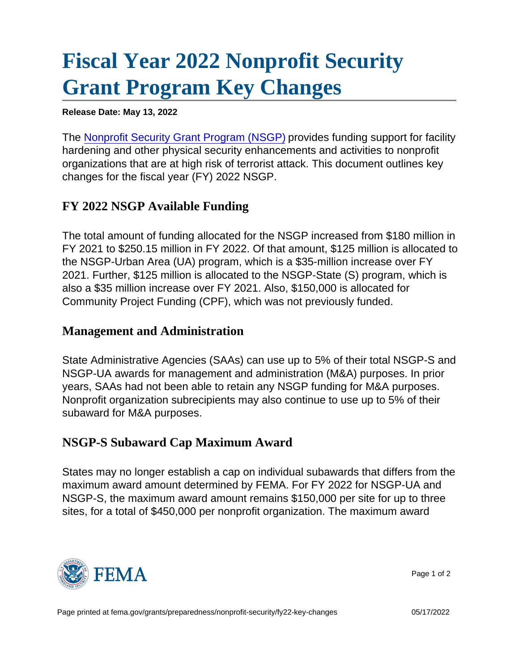## [Fiscal Year 2022 Nonprofit Security](https://edit.fema.gov/grants/preparedness/nonprofit-security/fy22-key-changes) [Grant Program Key Changes](https://edit.fema.gov/grants/preparedness/nonprofit-security/fy22-key-changes)

Release Date: May 13, 2022

The [Nonprofit Security Grant Program \(NSGP\)](https://edit.fema.gov/grants/preparedness/nonprofit-security) provides funding support for facility hardening and other physical security enhancements and activities to nonprofit organizations that are at high risk of terrorist attack. This document outlines key changes for the fiscal year (FY) 2022 NSGP.

## FY 2022 NSGP Available Funding

The total amount of funding allocated for the NSGP increased from \$180 million in FY 2021 to \$250.15 million in FY 2022. Of that amount, \$125 million is allocated to the NSGP-Urban Area (UA) program, which is a \$35-million increase over FY 2021. Further, \$125 million is allocated to the NSGP-State (S) program, which is also a \$35 million increase over FY 2021. Also, \$150,000 is allocated for Community Project Funding (CPF), which was not previously funded.

## Management and Administration

State Administrative Agencies (SAAs) can use up to 5% of their total NSGP-S and NSGP-UA awards for management and administration (M&A) purposes. In prior years, SAAs had not been able to retain any NSGP funding for M&A purposes. Nonprofit organization subrecipients may also continue to use up to 5% of their subaward for M&A purposes.

## NSGP-S Subaward Cap Maximum Award

States may no longer establish a cap on individual subawards that differs from the maximum award amount determined by FEMA. For FY 2022 for NSGP-UA and NSGP-S, the maximum award amount remains \$150,000 per site for up to three sites, for a total of \$450,000 per nonprofit organization. The maximum award



Page 1 of 2